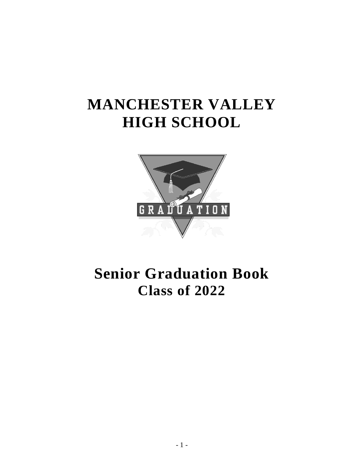# **MANCHESTER VALLEY HIGH SCHOOL**



## **Senior Graduation Book Class of 2022**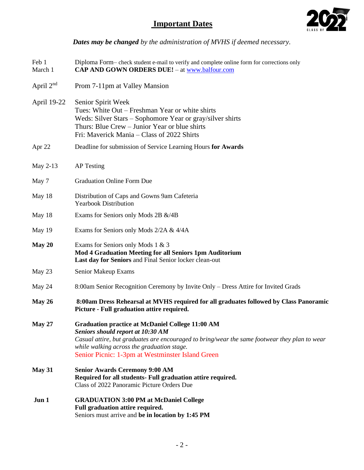## **Important Dates**



*Dates may be changed by the administration of MVHS if deemed necessary.*

| Feb 1<br>March 1 | Diploma Form-check student e-mail to verify and complete online form for corrections only<br>CAP AND GOWN ORDERS DUE! - at www.balfour.com                                                                                                                                                             |  |
|------------------|--------------------------------------------------------------------------------------------------------------------------------------------------------------------------------------------------------------------------------------------------------------------------------------------------------|--|
| April $2nd$      | Prom 7-11pm at Valley Mansion                                                                                                                                                                                                                                                                          |  |
| April 19-22      | Senior Spirit Week<br>Tues: White Out – Freshman Year or white shirts<br>Weds: Silver Stars – Sophomore Year or gray/silver shirts<br>Thurs: Blue Crew – Junior Year or blue shirts<br>Fri: Maverick Mania – Class of 2022 Shirts                                                                      |  |
| Apr 22           | Deadline for submission of Service Learning Hours for Awards                                                                                                                                                                                                                                           |  |
| May 2-13         | <b>AP</b> Testing                                                                                                                                                                                                                                                                                      |  |
| May 7            | <b>Graduation Online Form Due</b>                                                                                                                                                                                                                                                                      |  |
| May 18           | Distribution of Caps and Gowns 9am Cafeteria<br><b>Yearbook Distribution</b>                                                                                                                                                                                                                           |  |
| May 18           | Exams for Seniors only Mods 2B &/4B                                                                                                                                                                                                                                                                    |  |
| May 19           | Exams for Seniors only Mods 2/2A & 4/4A                                                                                                                                                                                                                                                                |  |
| May 20           | Exams for Seniors only Mods 1 & 3<br><b>Mod 4 Graduation Meeting for all Seniors 1pm Auditorium</b><br>Last day for Seniors and Final Senior locker clean-out                                                                                                                                          |  |
| May 23           | Senior Makeup Exams                                                                                                                                                                                                                                                                                    |  |
| May 24           | 8:00am Senior Recognition Ceremony by Invite Only – Dress Attire for Invited Grads                                                                                                                                                                                                                     |  |
| May $26$         | 8:00am Dress Rehearsal at MVHS required for all graduates followed by Class Panoramic<br>Picture - Full graduation attire required.                                                                                                                                                                    |  |
| <b>May 27</b>    | <b>Graduation practice at McDaniel College 11:00 AM</b><br><b>Seniors should report at 10:30 AM</b><br>Casual attire, but graduates are encouraged to bring/wear the same footwear they plan to wear<br>while walking across the graduation stage.<br>Senior Picnic: 1-3pm at Westminster Island Green |  |
| <b>May 31</b>    | <b>Senior Awards Ceremony 9:00 AM</b><br>Required for all students- Full graduation attire required.<br>Class of 2022 Panoramic Picture Orders Due                                                                                                                                                     |  |
| Jun 1            | <b>GRADUATION 3:00 PM at McDaniel College</b><br>Full graduation attire required.<br>Seniors must arrive and be in location by 1:45 PM                                                                                                                                                                 |  |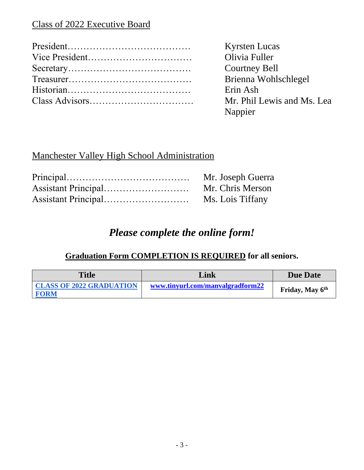## Class of 2022 Executive Board

| Kyrsten l |
|-----------|
| Olivia Fu |
| Courtney  |
| Brienna   |
| Erin Ash  |
| Mr. Phil  |
|           |

rsten Lucas ivia Fuller urtney Bell ienna Wohlschlegel  $\therefore$  Phil Lewis and Ms. Lea Nappier

## Manchester Valley High School Administration

| Mr. Joseph Guerra |
|-------------------|
| Mr. Chris Merson  |
| Ms. Lois Tiffany  |

## *Please complete the online form!*

## **Graduation Form COMPLETION IS REQUIRED for all seniors.**

| <b>Title</b>                                   | Link                             | <b>Due Date</b>             |
|------------------------------------------------|----------------------------------|-----------------------------|
| <b>CLASS OF 2022 GRADUATION</b><br><b>FORM</b> | www.tinyurl.com/manvalgradform22 | Friday, May 6 <sup>th</sup> |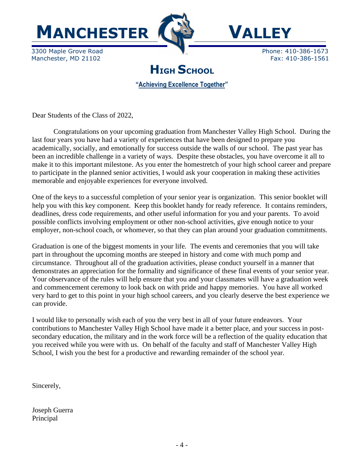



3300 Maple Grove Road **Phone: 410-386-1673** Manchester, MD 21102 **Fax: 410-386-1561** 

**HIGH SCHOOL**

**"Achieving Excellence Together"**

Dear Students of the Class of 2022,

Congratulations on your upcoming graduation from Manchester Valley High School. During the last four years you have had a variety of experiences that have been designed to prepare you academically, socially, and emotionally for success outside the walls of our school. The past year has been an incredible challenge in a variety of ways. Despite these obstacles, you have overcome it all to make it to this important milestone. As you enter the homestretch of your high school career and prepare to participate in the planned senior activities, I would ask your cooperation in making these activities memorable and enjoyable experiences for everyone involved.

One of the keys to a successful completion of your senior year is organization. This senior booklet will help you with this key component. Keep this booklet handy for ready reference. It contains reminders, deadlines, dress code requirements, and other useful information for you and your parents. To avoid possible conflicts involving employment or other non-school activities, give enough notice to your employer, non-school coach, or whomever, so that they can plan around your graduation commitments.

Graduation is one of the biggest moments in your life. The events and ceremonies that you will take part in throughout the upcoming months are steeped in history and come with much pomp and circumstance. Throughout all of the graduation activities, please conduct yourself in a manner that demonstrates an appreciation for the formality and significance of these final events of your senior year. Your observance of the rules will help ensure that you and your classmates will have a graduation week and commencement ceremony to look back on with pride and happy memories. You have all worked very hard to get to this point in your high school careers, and you clearly deserve the best experience we can provide.

I would like to personally wish each of you the very best in all of your future endeavors. Your contributions to Manchester Valley High School have made it a better place, and your success in postsecondary education, the military and in the work force will be a reflection of the quality education that you received while you were with us. On behalf of the faculty and staff of Manchester Valley High School, I wish you the best for a productive and rewarding remainder of the school year.

Sincerely,

Joseph Guerra Principal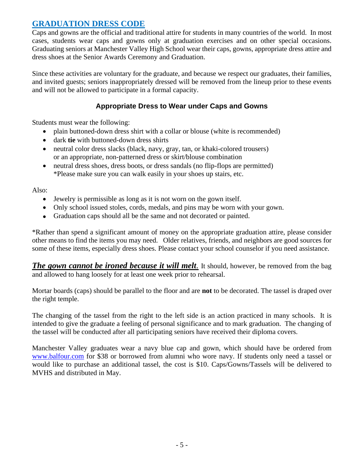#### **GRADUATION DRESS CODE**

Caps and gowns are the official and traditional attire for students in many countries of the world. In most cases, students wear caps and gowns only at graduation exercises and on other special occasions. Graduating seniors at Manchester Valley High School wear their caps, gowns, appropriate dress attire and dress shoes at the Senior Awards Ceremony and Graduation.

Since these activities are voluntary for the graduate, and because we respect our graduates, their families, and invited guests; seniors inappropriately dressed will be removed from the lineup prior to these events and will not be allowed to participate in a formal capacity.

#### **Appropriate Dress to Wear under Caps and Gowns**

Students must wear the following:

- plain buttoned-down dress shirt with a collar or blouse (white is recommended)
- dark **tie** with buttoned-down dress shirts
- neutral color dress slacks (black, navy, gray, tan, or khaki-colored trousers) or an appropriate, non-patterned dress or skirt/blouse combination
- neutral dress shoes, dress boots, or dress sandals (no flip-flops are permitted) \*Please make sure you can walk easily in your shoes up stairs, etc.

Also:

- Jewelry is permissible as long as it is not worn on the gown itself.
- Only school issued stoles, cords, medals, and pins may be worn with your gown.
- Graduation caps should all be the same and not decorated or painted.

\*Rather than spend a significant amount of money on the appropriate graduation attire, please consider other means to find the items you may need. Older relatives, friends, and neighbors are good sources for some of these items, especially dress shoes. Please contact your school counselor if you need assistance.

*The gown cannot be ironed because it will melt.* It should, however, be removed from the bag and allowed to hang loosely for at least one week prior to rehearsal.

Mortar boards (caps) should be parallel to the floor and are **not** to be decorated. The tassel is draped over the right temple.

The changing of the tassel from the right to the left side is an action practiced in many schools. It is intended to give the graduate a feeling of personal significance and to mark graduation. The changing of the tassel will be conducted after all participating seniors have received their diploma covers.

Manchester Valley graduates wear a navy blue cap and gown, which should have be ordered from [www.balfour.com](http://www.balfour.com/) for \$38 or borrowed from alumni who wore navy. If students only need a tassel or would like to purchase an additional tassel, the cost is \$10. Caps/Gowns/Tassels will be delivered to MVHS and distributed in May.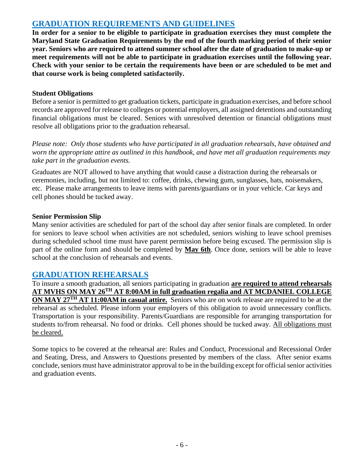#### **GRADUATION REQUIREMENTS AND GUIDELINES**

**In order for a senior to be eligible to participate in graduation exercises they must complete the Maryland State Graduation Requirements by the end of the fourth marking period of their senior year. Seniors who are required to attend summer school after the date of graduation to make-up or meet requirements will not be able to participate in graduation exercises until the following year. Check with your senior to be certain the requirements have been or are scheduled to be met and that course work is being completed satisfactorily.** 

#### **Student Obligations**

Before a senior is permitted to get graduation tickets, participate in graduation exercises, and before school records are approved for release to colleges or potential employers, all assigned detentions and outstanding financial obligations must be cleared. Seniors with unresolved detention or financial obligations must resolve all obligations prior to the graduation rehearsal.

*Please note: Only those students who have participated in all graduation rehearsals, have obtained and worn the appropriate attire as outlined in this handbook, and have met all graduation requirements may take part in the graduation events.*

Graduates are NOT allowed to have anything that would cause a distraction during the rehearsals or ceremonies, including, but not limited to: coffee, drinks, chewing gum, sunglasses, hats, noisemakers, etc. Please make arrangements to leave items with parents/guardians or in your vehicle. Car keys and cell phones should be tucked away.

#### **Senior Permission Slip**

Many senior activities are scheduled for part of the school day after senior finals are completed. In order for seniors to leave school when activities are not scheduled, seniors wishing to leave school premises during scheduled school time must have parent permission before being excused. The permission slip is part of the online form and should be completed by **May 6th**. Once done, seniors will be able to leave school at the conclusion of rehearsals and events.

#### **GRADUATION REHEARSALS**

To insure a smooth graduation, all seniors participating in graduation **are required to attend rehearsals AT MVHS ON MAY 26TH AT 8:00AM in full graduation regalia and AT MCDANIEL COLLEGE ON MAY 27TH AT 11:00AM in casual attire.** Seniors who are on work release are required to be at the rehearsal as scheduled. Please inform your employers of this obligation to avoid unnecessary conflicts. Transportation is your responsibility. Parents/Guardians are responsible for arranging transportation for students to/from rehearsal. No food or drinks. Cell phones should be tucked away. All obligations must be cleared.

Some topics to be covered at the rehearsal are: Rules and Conduct, Processional and Recessional Order and Seating, Dress, and Answers to Questions presented by members of the class. After senior exams conclude, seniors must have administrator approval to be in the building except for official senior activities and graduation events.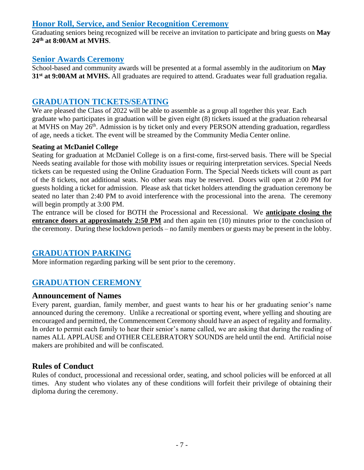#### **Honor Roll, Service, and Senior Recognition Ceremony**

Graduating seniors being recognized will be receive an invitation to participate and bring guests on **May 24th at 8:00AM at MVHS**.

#### **Senior Awards Ceremony**

School-based and community awards will be presented at a formal assembly in the auditorium on **May 31st at 9:00AM at MVHS.** All graduates are required to attend. Graduates wear full graduation regalia.

#### **GRADUATION TICKETS/SEATING**

We are pleased the Class of 2022 will be able to assemble as a group all together this year. Each graduate who participates in graduation will be given eight (8) tickets issued at the graduation rehearsal at MVHS on May 26<sup>th</sup>. Admission is by ticket only and every PERSON attending graduation, regardless of age, needs a ticket. The event will be streamed by the Community Media Center online.

#### **Seating at McDaniel College**

Seating for graduation at McDaniel College is on a first-come, first-served basis. There will be Special Needs seating available for those with mobility issues or requiring interpretation services. Special Needs tickets can be requested using the Online Graduation Form. The Special Needs tickets will count as part of the 8 tickets, not additional seats. No other seats may be reserved. Doors will open at 2:00 PM for guests holding a ticket for admission. Please ask that ticket holders attending the graduation ceremony be seated no later than 2:40 PM to avoid interference with the processional into the arena. The ceremony will begin promptly at 3:00 PM.

The entrance will be closed for BOTH the Processional and Recessional. We **anticipate closing the entrance doors at approximately 2:50 PM** and then again ten (10) minutes prior to the conclusion of the ceremony. During these lockdown periods – no family members or guests may be present in the lobby.

#### **GRADUATION PARKING**

More information regarding parking will be sent prior to the ceremony.

#### **GRADUATION CEREMONY**

#### **Announcement of Names**

Every parent, guardian, family member, and guest wants to hear his or her graduating senior's name announced during the ceremony. Unlike a recreational or sporting event, where yelling and shouting are encouraged and permitted, the Commencement Ceremony should have an aspect of regality and formality. In order to permit each family to hear their senior's name called, we are asking that during the reading of names ALL APPLAUSE and OTHER CELEBRATORY SOUNDS are held until the end. Artificial noise makers are prohibited and will be confiscated.

#### **Rules of Conduct**

Rules of conduct, processional and recessional order, seating, and school policies will be enforced at all times. Any student who violates any of these conditions will forfeit their privilege of obtaining their diploma during the ceremony.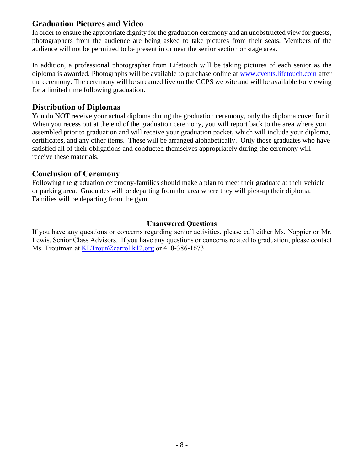#### **Graduation Pictures and Video**

In order to ensure the appropriate dignity for the graduation ceremony and an unobstructed view for guests, photographers from the audience are being asked to take pictures from their seats. Members of the audience will not be permitted to be present in or near the senior section or stage area.

In addition, a professional photographer from Lifetouch will be taking pictures of each senior as the diploma is awarded. Photographs will be available to purchase online at [www.events.lifetouch.com](http://www.events.lifetouch.com/) after the ceremony. The ceremony will be streamed live on the CCPS website and will be available for viewing for a limited time following graduation.

#### **Distribution of Diplomas**

You do NOT receive your actual diploma during the graduation ceremony, only the diploma cover for it. When you recess out at the end of the graduation ceremony, you will report back to the area where you assembled prior to graduation and will receive your graduation packet, which will include your diploma, certificates, and any other items. These will be arranged alphabetically. Only those graduates who have satisfied all of their obligations and conducted themselves appropriately during the ceremony will receive these materials.

#### **Conclusion of Ceremony**

Following the graduation ceremony-families should make a plan to meet their graduate at their vehicle or parking area. Graduates will be departing from the area where they will pick-up their diploma. Families will be departing from the gym.

#### **Unanswered Questions**

If you have any questions or concerns regarding senior activities, please call either Ms. Nappier or Mr. Lewis, Senior Class Advisors. If you have any questions or concerns related to graduation, please contact Ms. Troutman at [KLTrout@carrollk12.org](mailto:KLTrout@carrollk12.org) or 410-386-1673.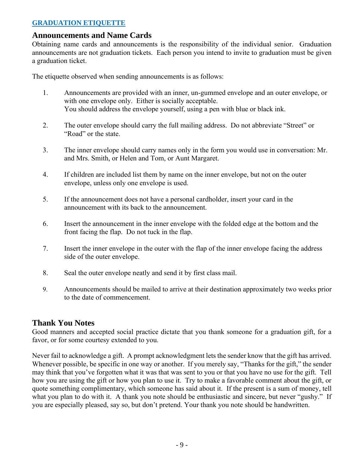#### **GRADUATION ETIQUETTE**

#### **Announcements and Name Cards**

Obtaining name cards and announcements is the responsibility of the individual senior. Graduation announcements are not graduation tickets. Each person you intend to invite to graduation must be given a graduation ticket.

The etiquette observed when sending announcements is as follows:

- 1. Announcements are provided with an inner, un-gummed envelope and an outer envelope, or with one envelope only. Either is socially acceptable. You should address the envelope yourself, using a pen with blue or black ink.
- 2. The outer envelope should carry the full mailing address. Do not abbreviate "Street" or "Road" or the state.
- 3. The inner envelope should carry names only in the form you would use in conversation: Mr. and Mrs. Smith, or Helen and Tom, or Aunt Margaret.
- 4. If children are included list them by name on the inner envelope, but not on the outer envelope, unless only one envelope is used.
- 5. If the announcement does not have a personal cardholder, insert your card in the announcement with its back to the announcement.
- 6. Insert the announcement in the inner envelope with the folded edge at the bottom and the front facing the flap. Do not tuck in the flap.
- 7. Insert the inner envelope in the outer with the flap of the inner envelope facing the address side of the outer envelope.
- 8. Seal the outer envelope neatly and send it by first class mail.
- 9. Announcements should be mailed to arrive at their destination approximately two weeks prior to the date of commencement.

#### **Thank You Notes**

Good manners and accepted social practice dictate that you thank someone for a graduation gift, for a favor, or for some courtesy extended to you.

Never fail to acknowledge a gift. A prompt acknowledgment lets the sender know that the gift has arrived. Whenever possible, be specific in one way or another. If you merely say, "Thanks for the gift," the sender may think that you've forgotten what it was that was sent to you or that you have no use for the gift. Tell how you are using the gift or how you plan to use it. Try to make a favorable comment about the gift, or quote something complimentary, which someone has said about it. If the present is a sum of money, tell what you plan to do with it. A thank you note should be enthusiastic and sincere, but never "gushy." If you are especially pleased, say so, but don't pretend. Your thank you note should be handwritten.